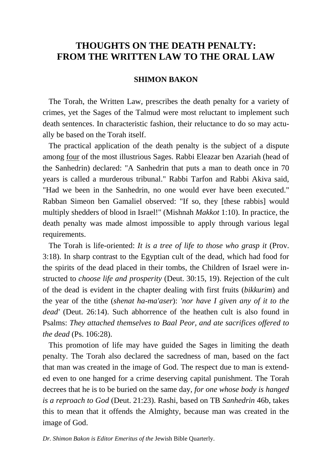# **THOUGHTS ON THE DEATH PENALTY: FROM THE WRITTEN LAW TO THE ORAL LAW**

# **SHIMON BAKON**

 The Torah, the Written Law, prescribes the death penalty for a variety of crimes, yet the Sages of the Talmud were most reluctant to implement such death sentences. In characteristic fashion, their reluctance to do so may actually be based on the Torah itself.

 The practical application of the death penalty is the subject of a dispute among four of the most illustrious Sages. Rabbi Eleazar ben Azariah (head of the Sanhedrin) declared: "A Sanhedrin that puts a man to death once in 70 years is called a murderous tribunal." Rabbi Tarfon and Rabbi Akiva said, "Had we been in the Sanhedrin, no one would ever have been executed." Rabban Simeon ben Gamaliel observed: "If so, they [these rabbis] would multiply shedders of blood in Israel!" (Mishnah *Makkot* 1:10). In practice, the death penalty was made almost impossible to apply through various legal requirements.

 The Torah is life-oriented: *It is a tree of life to those who grasp it* (Prov. 3:18). In sharp contrast to the Egyptian cult of the dead, which had food for the spirits of the dead placed in their tombs, the Children of Israel were instructed to *choose life and prosperity* (Deut. 30:15, 19). Rejection of the cult of the dead is evident in the chapter dealing with first fruits (*bikkurim*) and the year of the tithe (*shenat ha-ma'aser*): *'nor have I given any of it to the dead'* (Deut. 26:14). Such abhorrence of the heathen cult is also found in Psalms: *They attached themselves to Baal Peor, and ate sacrifices offered to the dead* (Ps. 106:28).

 This promotion of life may have guided the Sages in limiting the death penalty. The Torah also declared the sacredness of man, based on the fact that man was created in the image of God. The respect due to man is extended even to one hanged for a crime deserving capital punishment. The Torah decrees that he is to be buried on the same day, *for one whose body is hanged is a reproach to God* (Deut. 21:23). Rashi, based on TB *Sanhedrin* 46b, takes this to mean that it offends the Almighty, because man was created in the image of God.

*Dr. Shimon Bakon is Editor Emeritus of the* Jewish Bible Quarterly.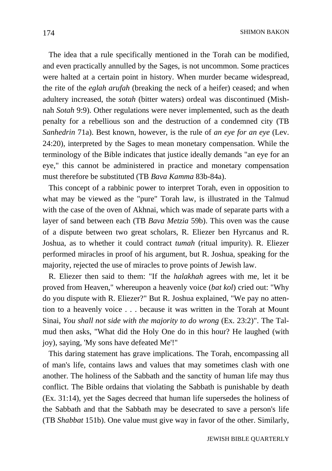SHIMON BAKON

 The idea that a rule specifically mentioned in the Torah can be modified, and even practically annulled by the Sages, is not uncommon. Some practices were halted at a certain point in history. When murder became widespread, the rite of the *eglah arufah* (breaking the neck of a heifer) ceased; and when adultery increased, the *sotah* (bitter waters) ordeal was discontinued (Mishnah *Sotah* 9:9). Other regulations were never implemented, such as the death penalty for a rebellious son and the destruction of a condemned city (TB *Sanhedrin* 71a). Best known, however, is the rule of *an eye for an eye* (Lev. 24:20), interpreted by the Sages to mean monetary compensation. While the terminology of the Bible indicates that justice ideally demands "an eye for an eye," this cannot be administered in practice and monetary compensation must therefore be substituted (TB *Bava Kamma* 83b-84a).

 This concept of a rabbinic power to interpret Torah, even in opposition to what may be viewed as the "pure" Torah law, is illustrated in the Talmud with the case of the oven of Akhnai, which was made of separate parts with a layer of sand between each (TB *Bava Metzia* 59b). This oven was the cause of a dispute between two great scholars, R. Eliezer ben Hyrcanus and R. Joshua, as to whether it could contract *tumah* (ritual impurity). R. Eliezer performed miracles in proof of his argument, but R. Joshua, speaking for the majority, rejected the use of miracles to prove points of Jewish law.

 R. Eliezer then said to them: "If the *halakhah* agrees with me, let it be proved from Heaven," whereupon a heavenly voice (*bat kol*) cried out: "Why do you dispute with R. Eliezer?" But R. Joshua explained, "We pay no attention to a heavenly voice . . . because it was written in the Torah at Mount Sinai, *You shall not side with the majority to do wrong* (Ex. 23:2)". The Talmud then asks, "What did the Holy One do in this hour? He laughed (with joy), saying, 'My sons have defeated Me'!"

 This daring statement has grave implications. The Torah, encompassing all of man's life, contains laws and values that may sometimes clash with one another. The holiness of the Sabbath and the sanctity of human life may thus conflict. The Bible ordains that violating the Sabbath is punishable by death (Ex. 31:14), yet the Sages decreed that human life supersedes the holiness of the Sabbath and that the Sabbath may be desecrated to save a person's life (TB *Shabbat* 151b). One value must give way in favor of the other. Similarly,

JEWISH BIBLE QUARTERLY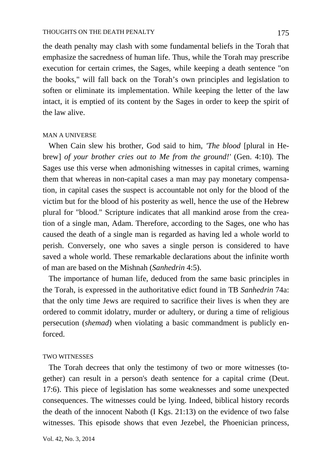the death penalty may clash with some fundamental beliefs in the Torah that emphasize the sacredness of human life. Thus, while the Torah may prescribe execution for certain crimes, the Sages, while keeping a death sentence "on the books," will fall back on the Torah's own principles and legislation to soften or eliminate its implementation. While keeping the letter of the law intact, it is emptied of its content by the Sages in order to keep the spirit of the law alive.

## MAN A UNIVERSE

 When Cain slew his brother, God said to him, *'The blood* [plural in Hebrew] *of your brother cries out to Me from the ground!'* (Gen. 4:10). The Sages use this verse when admonishing witnesses in capital crimes, warning them that whereas in non-capital cases a man may pay monetary compensation, in capital cases the suspect is accountable not only for the blood of the victim but for the blood of his posterity as well, hence the use of the Hebrew plural for "blood." Scripture indicates that all mankind arose from the creation of a single man, Adam. Therefore, according to the Sages, one who has caused the death of a single man is regarded as having led a whole world to perish. Conversely, one who saves a single person is considered to have saved a whole world. These remarkable declarations about the infinite worth of man are based on the Mishnah (*Sanhedrin* 4:5).

 The importance of human life, deduced from the same basic principles in the Torah, is expressed in the authoritative edict found in TB *Sanhedrin* 74a: that the only time Jews are required to sacrifice their lives is when they are ordered to commit idolatry, murder or adultery, or during a time of religious persecution (*shemad*) when violating a basic commandment is publicly enforced.

#### TWO WITNESSES

 The Torah decrees that only the testimony of two or more witnesses (together) can result in a person's death sentence for a capital crime (Deut. 17:6). This piece of legislation has some weaknesses and some unexpected consequences. The witnesses could be lying. Indeed, biblical history records the death of the innocent Naboth (I Kgs. 21:13) on the evidence of two false witnesses. This episode shows that even Jezebel, the Phoenician princess,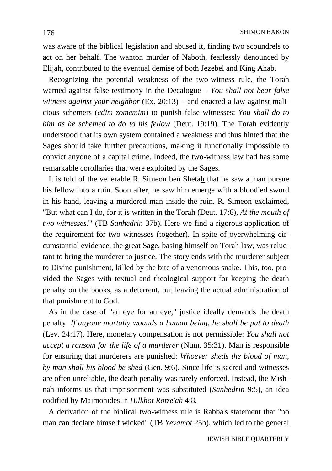was aware of the biblical legislation and abused it, finding two scoundrels to act on her behalf. The wanton murder of Naboth, fearlessly denounced by Elijah, contributed to the eventual demise of both Jezebel and King Ahab.

 Recognizing the potential weakness of the two-witness rule, the Torah warned against false testimony in the Decalogue – *You shall not bear false witness against your neighbor* (Ex. 20:13) – and enacted a law against malicious schemers (*edim zomemim*) to punish false witnesses: *You shall do to him as he schemed to do to his fellow* (Deut. 19:19). The Torah evidently understood that its own system contained a weakness and thus hinted that the Sages should take further precautions, making it functionally impossible to convict anyone of a capital crime. Indeed, the two-witness law had has some remarkable corollaries that were exploited by the Sages.

 It is told of the venerable R. Simeon ben Shetah that he saw a man pursue his fellow into a ruin. Soon after, he saw him emerge with a bloodied sword in his hand, leaving a murdered man inside the ruin. R. Simeon exclaimed, "But what can I do, for it is written in the Torah (Deut. 17:6), *At the mouth of two witnesses!*" (TB *Sanhedrin* 37b). Here we find a rigorous application of the requirement for two witnesses (together). In spite of overwhelming circumstantial evidence, the great Sage, basing himself on Torah law, was reluctant to bring the murderer to justice. The story ends with the murderer subject to Divine punishment, killed by the bite of a venomous snake. This, too, provided the Sages with textual and theological support for keeping the death penalty on the books, as a deterrent, but leaving the actual administration of that punishment to God.

 As in the case of "an eye for an eye," justice ideally demands the death penalty: *If anyone mortally wounds a human being, he shall be put to death*  (Lev. 24:17). Here, monetary compensation is not permissible: *You shall not accept a ransom for the life of a murderer* (Num. 35:31). Man is responsible for ensuring that murderers are punished: *Whoever sheds the blood of man, by man shall his blood be shed* (Gen. 9:6). Since life is sacred and witnesses are often unreliable, the death penalty was rarely enforced. Instead, the Mishnah informs us that imprisonment was substituted (*Sanhedrin* 9:5), an idea codified by Maimonides in *Hilkhot Rotze'ah* 4:8.

 A derivation of the biblical two-witness rule is Rabba's statement that "no man can declare himself wicked" (TB *Yevamot* 25b), which led to the general